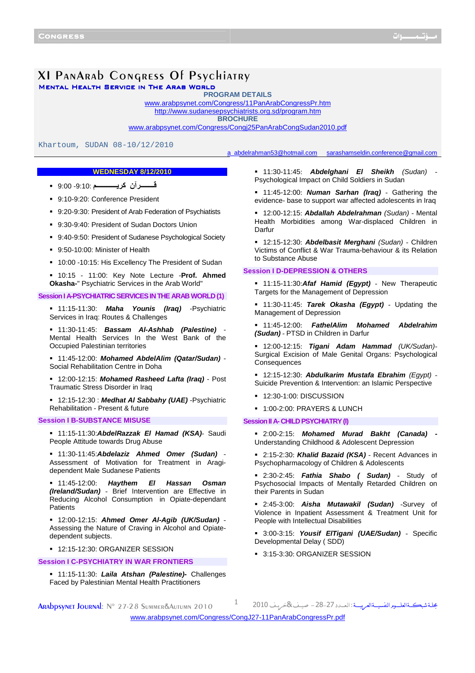# XI PANARAD CONGRESS Of Psychiatry

MENTAL HEALTH SERVICE IN THE ARAB WORLD

**PROGRAM DETAILS** <www.arabpsynet.com/Congress/11PanArabCongressPr.htm>

<http://www.sudanesepsychiatrists.org.sd/program.htm>

**BROCHURE**

<www.arabpsynet.com/Congress/Congj25PanArabCongSudan2010.pdf>

Khartoum, SUDAN 08-10/12/2010

# **WEDNESDAY 8/12/2010**

- **ــــــــ-ن آــــــــــــ** -9:10: 9:00
- 9:10-9:20: Conference President
- 9:20-9:30: President of Arab Federation of Psychiatists
- 9:30-9:40: President of Sudan Doctors Union
- 9:40-9:50: President of Sudanese Psychological Society
- 9:50-10:00: Minister of Health
- 10:00 -10:15: His Excellency The President of Sudan
- 10:15 11:00: Key Note Lecture -**Prof. Ahmed Okasha-**" Psychiatric Services in the Arab World"

#### **Session I A-PSYCHIATRIC SERVICES IN THE ARAB WORLD (1)**

 11:15-11:30: **Maha Younis (Iraq)** -Psychiatric Services in Iraq: Routes & Challenges

 11:30-11:45: **Bassam Al-Ashhab (Palestine)** - Mental Health Services In the West Bank of the Occupied Palestinian territories

 11:45-12:00: **Mohamed AbdelAlim (Qatar/Sudan)** - Social Rehabilitation Centre in Doha

 12:00-12:15: **Mohamed Rasheed Lafta (Iraq)** - Post Traumatic Stress Disorder in Iraq

 12:15-12:30 : **Medhat Al Sabbahy (UAE)** -Psychiatric Rehabilitation - Present & future

## **Session I B-SUBSTANCE MISUSE**

 11:15-11:30:**AbdelRazzak El Hamad (KSA)**- Saudi People Attitude towards Drug Abuse

 11:30-11:45:**Abdelaziz Ahmed Omer (Sudan)** - Assessment of Motivation for Treatment in Aragidependent Male Sudanese Patients

 11:45-12:00: **Haythem El Hassan Osman (Ireland/Sudan)** - Brief Intervention are Effective in Reducing Alcohol Consumption in Opiate-dependant **Patients** 

 12:00-12:15: **Ahmed Omer Al-Agib (UK/Sudan)** - Assessing the Nature of Craving in Alcohol and Opiatedependent subjects.

<sup>1</sup> 12:15-12:30: ORGANIZER SESSION

**Session I C-PSYCHIATRY IN WAR FRONTIERS**

 11:15-11:30: **Laila Atshan (Palestine)-** Challenges Faced by Palestinian Mental Health Practitioners

a\_abdelrahman53@hotmail.com sarashamseldin.conference@gmail.com 

 11:30-11:45: **Abdelghani El Sheikh** (Sudan) - Psychological Impact on Child Soldiers in Sudan

 11:45-12:00: **Numan Sarhan (Iraq)** - Gathering the evidence- base to support war affected adolescents in Iraq

 12:00-12:15: **Abdallah Abdelrahman** (Sudan) - Mental Health Morbidities among War-displaced Children in Darfur

 12:15-12:30: **Abdelbasit Merghani** (Sudan) - Children Victims of Conflict & War Trauma-behaviour & its Relation to Substance Abuse

# **Session I D-DEPRESSION & OTHERS**

 11:15-11:30:**Afaf Hamid (Egypt)** - New Therapeutic Targets for the Management of Depression

 11:30-11:45: **Tarek Okasha (Egypt)** - Updating the Management of Depression

 11:45-12:00: **FathelAlim Mohamed Abdelrahim (Sudan)** - PTSD in Children in Darfur

 12:00-12:15: **Tigani Adam Hammad** (UK/Sudan)- Surgical Excision of Male Genital Organs: Psychological Consequences

 12:15-12:30: **Abdulkarim Mustafa Ebrahim** (Egypt) - Suicide Prevention & Intervention: an Islamic Perspective

- **12:30-1:00: DISCUSSION**
- <sup>1</sup>:00-2:00: PRAYERS & LUNCH

#### **Session II A- CHILD PSYCHIATRY (I)**

 2:00-2:15: **Mohamed Murad Bakht (Canada) -** Understanding Childhood & Adolescent Depression

 2:15-2:30: **Khalid Bazaid (KSA)** - Recent Advances in Psychopharmacology of Children & Adolescents

 2:30-2:45: **Fathia Shabo ( Sudan)** - Study of Psychosocial Impacts of Mentally Retarded Children on their Parents in Sudan

 2:45-3:00: **Aisha Mutawakil (Sudan)** -Survey of Violence in Inpatient Assessment & Treatment Unit for People with Intellectual Disabilities

 3:00-3:15: **Yousif ElTigani (UAE/Sudan)** - Specific Developmental Delay ( SDD)

مجلة شبكةالعلــوم النفسيــةالعربيـــة : ال

3:15-3:30: ORGANIZER SESSION

ARADDSYNET JOURNAL: N° 27-28 SUMMER&AUTUMN 2010

<www.arabpsynet.com/Congress/CongJ27-11PanArabCongressPr.pdf>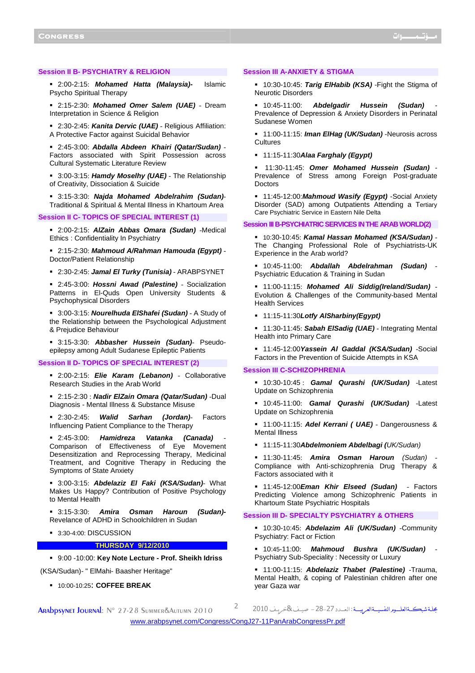## **Session II B- PSYCHIATRY & RELIGION**

 2:00-2:15: **Mohamed Hatta (Malaysia)-** Islamic Psycho Spiritual Therapy

 2:15-2:30: **Mohamed Omer Salem (UAE)** - Dream Interpretation in Science & Religion

 2:30-2:45: **Kanita Dervic (UAE)** - Religious Affiliation: A Protective Factor against Suicidal Behavior

 2:45-3:00: **Abdalla Abdeen Khairi (Qatar/Sudan)** - Factors associated with Spirit Possession across Cultural Systematic Literature Review

 3:00-3:15: **Hamdy Moselhy (UAE)** - The Relationship of Creativity, Dissociation & Suicide

 3:15-3:30: **Najda Mohamed Abdelrahim (Sudan)**- Traditional & Spiritual & Mental Illness in Khartoum Area

## **Session II C- TOPICS OF SPECIAL INTEREST (1)**

 2:00-2:15: **AlZain Abbas Omara (Sudan)** -Medical Ethics : Confidentiality In Psychiatry

 2:15-2:30: **Mahmoud A/Rahman Hamouda (Egypt)** - Doctor/Patient Relationship

2:30-2:45: **Jamal El Turky (Tunisia)** - ARABPSYNET

 2:45-3:00: **Hossni Awad (Palestine)** - Socialization Patterns in El-Quds Open University Students & Psychophysical Disorders

 3:00-3:15: **Nourelhuda ElShafei (Sudan)** - A Study of the Relationship between the Psychological Adjustment & Prejudice Behaviour

 3:15-3:30: **Abbasher Hussein (Sudan)**- Pseudoepilepsy among Adult Sudanese Epileptic Patients

## **Session II D- TOPICS OF SPECIAL INTEREST (2)**

 2:00-2:15: **Elie Karam (Lebanon)** - Collaborative Research Studies in the Arab World

 2:15-2:30 : **Nadir ElZain Omara (Qatar/Sudan)** -Dual Diagnosis - Mental Illness & Substance Misuse

 2:30-2:45: **Walid Sarhan (Jordan)**- Factors Influencing Patient Compliance to the Therapy

 2:45-3:00: **Hamidreza Vatanka (Canada)** - Comparison of Effectiveness of Eye Movement Desensitization and Reprocessing Therapy, Medicinal Treatment, and Cognitive Therapy in Reducing the Symptoms of State Anxiety

 3:00-3:15: **Abdelaziz El Faki (KSA/Sudan)**- What Makes Us Happy? Contribution of Positive Psychology to Mental Health

 3:15-3:30: **Amira Osman Haroun (Sudan)-**  Revelance of ADHD in Schoolchildren in Sudan

3:30-4:00: DISCUSSION

**THURSDAY 9/12/2010**

9:00 -10:00: **Key Note Lecture - Prof. Sheikh Idriss**

(KSA/Sudan)- " ElMahi- Baasher Heritage"

10:00-10:25: **COFFEE BREAK**

## **Session III A-ANXIETY & STIGMA**

 10:30-10:45: **Tarig ElHabib (KSA)** -Fight the Stigma of Neurotic Disorders

 10:45-11:00: **Abdelgadir Hussein (Sudan)** - Prevalence of Depression & Anxiety Disorders in Perinatal Sudanese Women

 11:00-11:15: **Iman ElHag (UK/Sudan)** -Neurosis across **Cultures** 

11:15-11:30**Alaa Farghaly (Egypt)** 

 11:30-11:45: **Omer Mohamed Hussein (Sudan)** - Prevalence of Stress among Foreign Post-graduate Doctors

 11:45-12:00:**Mahmoud Wasify (Egypt)** -Social Anxiety Disorder (SAD) among Outpatients Attending a Tertiary Care Psychiatric Service in Eastern Nile Delta

#### **Session III B-PSYCHIATRIC SERVICES IN THE ARAB WORLD(2)**

 10:30-10:45: **Kamal Hassan Mohamed (KSA/Sudan)** - The Changing Professional Role of Psychiatrists-UK Experience in the Arab world?

 10:45-11:00: **Abdallah Abdelrahman (Sudan)** - Psychiatric Education & Training in Sudan

 11:00-11:15: **Mohamed Ali Siddig(Ireland/Sudan)** - Evolution & Challenges of the Community-based Mental Health Services

#### 11:15-11:30**Lotfy AlSharbiny(Egypt)**

 11:30-11:45: **Sabah ElSadig (UAE)** - Integrating Mental Health into Primary Care

 11:45-12:00**Yassein Al Gaddal (KSA/Sudan)** -Social Factors in the Prevention of Suicide Attempts in KSA

## **Session III C-SCHIZOPHRENIA**

 10:30-10:45 : **Gamal Qurashi (UK/Sudan)** -Latest Update on Schizophrenia

 10:45-11:00: **Gamal Qurashi (UK/Sudan)** -Latest Update on Schizophrenia

 11:00-11:15: **Adel Kerrani ( UAE)** - Dangerousness & Mental Illness

11:15-11:30**Abdelmoniem Abdelbagi (**UK/Sudan)

 11:30-11:45: **Amira Osman Haroun** (Sudan) - Compliance with Anti-schizophrenia Drug Therapy & Factors associated with it

 11:45-12:00**Eman Khir Elseed (Sudan)** - Factors Predicting Violence among Schizophrenic Patients in Khartoum State Psychiatric Hospitals

# **Session III D- SPECIALTY PSYCHIATRY & OTHERS**

 10:30-10:45: **Abdelazim Ali (UK/Sudan)** -Community Psychiatry: Fact or Fiction

 10:45-11:00: **Mahmoud Bushra (UK/Sudan)** - Psychiatry Sub-Speciality : Necessity or Luxury

 11:00-11:15: **Abdelaziz Thabet (Palestine)** -Trauma, Mental Health, & coping of Palestinian children after one year Gaza war

ARADDSYNET JOURNAL: N° 27-28 SUMMER&AUTUMN 2010<sup>2</sup>